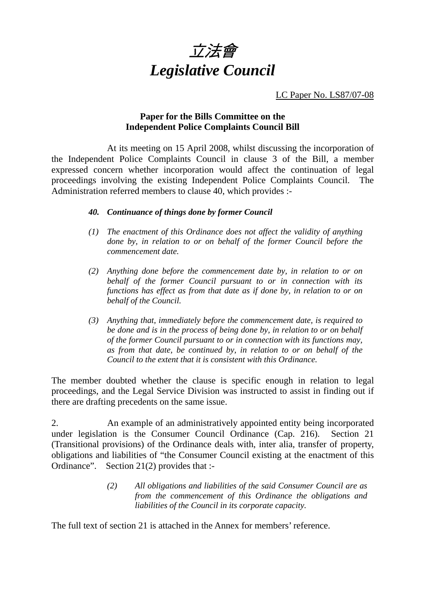

LC Paper No. LS87/07-08

### **Paper for the Bills Committee on the Independent Police Complaints Council Bill**

 At its meeting on 15 April 2008, whilst discussing the incorporation of the Independent Police Complaints Council in clause 3 of the Bill, a member expressed concern whether incorporation would affect the continuation of legal proceedings involving the existing Independent Police Complaints Council. The Administration referred members to clause 40, which provides :-

#### *40. Continuance of things done by former Council*

- *(1) The enactment of this Ordinance does not affect the validity of anything done by, in relation to or on behalf of the former Council before the commencement date.*
- *(2) Anything done before the commencement date by, in relation to or on behalf of the former Council pursuant to or in connection with its functions has effect as from that date as if done by, in relation to or on behalf of the Council.*
- *(3) Anything that, immediately before the commencement date, is required to be done and is in the process of being done by, in relation to or on behalf of the former Council pursuant to or in connection with its functions may, as from that date, be continued by, in relation to or on behalf of the Council to the extent that it is consistent with this Ordinance.*

The member doubted whether the clause is specific enough in relation to legal proceedings, and the Legal Service Division was instructed to assist in finding out if there are drafting precedents on the same issue.

2. An example of an administratively appointed entity being incorporated under legislation is the Consumer Council Ordinance (Cap. 216). Section 21 (Transitional provisions) of the Ordinance deals with, inter alia, transfer of property, obligations and liabilities of "the Consumer Council existing at the enactment of this Ordinance". Section 21(2) provides that :-

> *(2) All obligations and liabilities of the said Consumer Council are as from the commencement of this Ordinance the obligations and liabilities of the Council in its corporate capacity.*

The full text of section 21 is attached in the Annex for members' reference.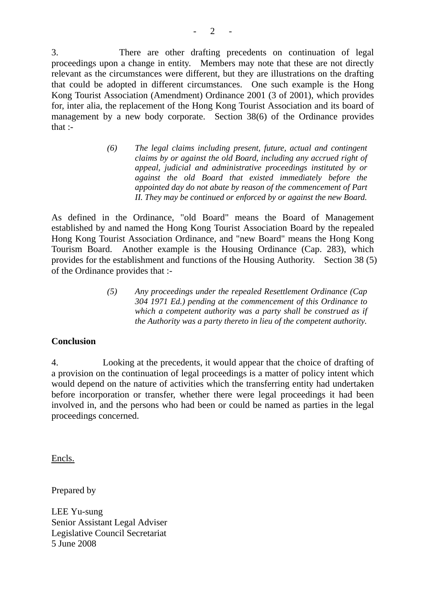3. There are other drafting precedents on continuation of legal proceedings upon a change in entity. Members may note that these are not directly relevant as the circumstances were different, but they are illustrations on the drafting that could be adopted in different circumstances. One such example is the Hong Kong Tourist Association (Amendment) Ordinance 2001 (3 of 2001), which provides for, inter alia, the replacement of the Hong Kong Tourist Association and its board of management by a new body corporate. Section 38(6) of the Ordinance provides that :-

> *(6) The legal claims including present, future, actual and contingent claims by or against the old Board, including any accrued right of appeal, judicial and administrative proceedings instituted by or against the old Board that existed immediately before the appointed day do not abate by reason of the commencement of Part II. They may be continued or enforced by or against the new Board.*

As defined in the Ordinance, "old Board" means the Board of Management established by and named the Hong Kong Tourist Association Board by the repealed Hong Kong Tourist Association Ordinance, and "new Board" means the Hong Kong Tourism Board. Another example is the Housing Ordinance (Cap. 283), which provides for the establishment and functions of the Housing Authority. Section 38 (5) of the Ordinance provides that :-

> *(5) Any proceedings under the repealed Resettlement Ordinance (Cap 304 1971 Ed.) pending at the commencement of this Ordinance to which a competent authority was a party shall be construed as if the Authority was a party thereto in lieu of the competent authority.*

### **Conclusion**

4. Looking at the precedents, it would appear that the choice of drafting of a provision on the continuation of legal proceedings is a matter of policy intent which would depend on the nature of activities which the transferring entity had undertaken before incorporation or transfer, whether there were legal proceedings it had been involved in, and the persons who had been or could be named as parties in the legal proceedings concerned.

Encls.

Prepared by

LEE Yu-sung Senior Assistant Legal Adviser Legislative Council Secretariat 5 June 2008